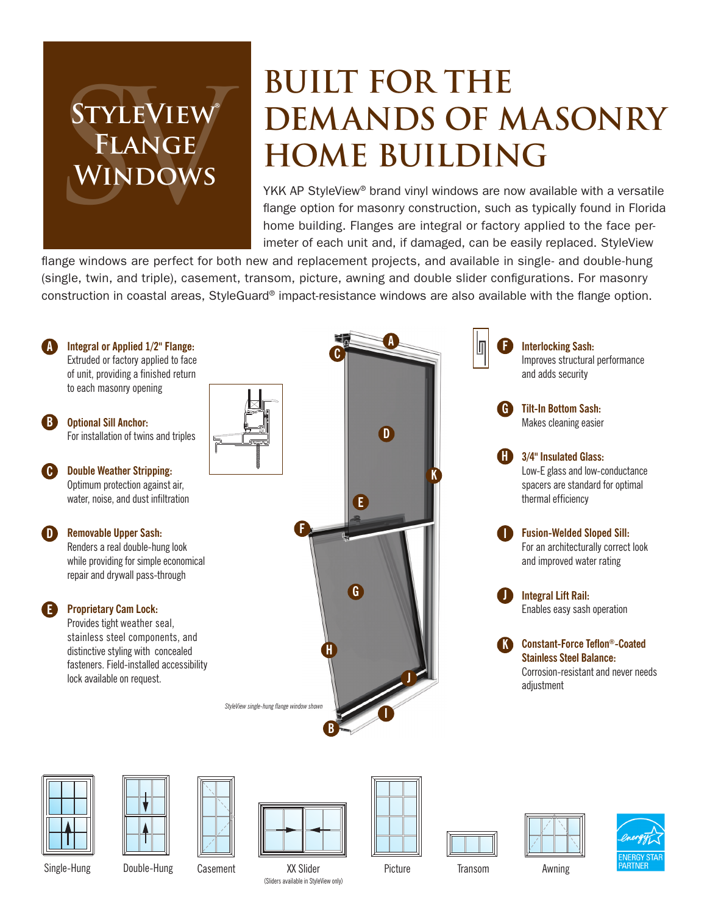## **STYLEVIEW Flange Windows**

### **Built For The Demands Of Masonry Home Building**

YKK AP StyleView<sup>®</sup> brand vinyl windows are now available with a versatile flange option for masonry construction, such as typically found in Florida home building. Flanges are integral or factory applied to the face perimeter of each unit and, if damaged, can be easily replaced. StyleView

flange windows are perfect for both new and replacement projects, and available in single- and double-hung (single, twin, and triple), casement, transom, picture, awning and double slider configurations. For masonry construction in coastal areas, StyleGuard® impact-resistance windows are also available with the flange option.







Double-Hung Casement XX Slider Picture (Sliders available in StyleView only) Single-Hung Double-Hung Casement XX Slider Picture Transom Awning